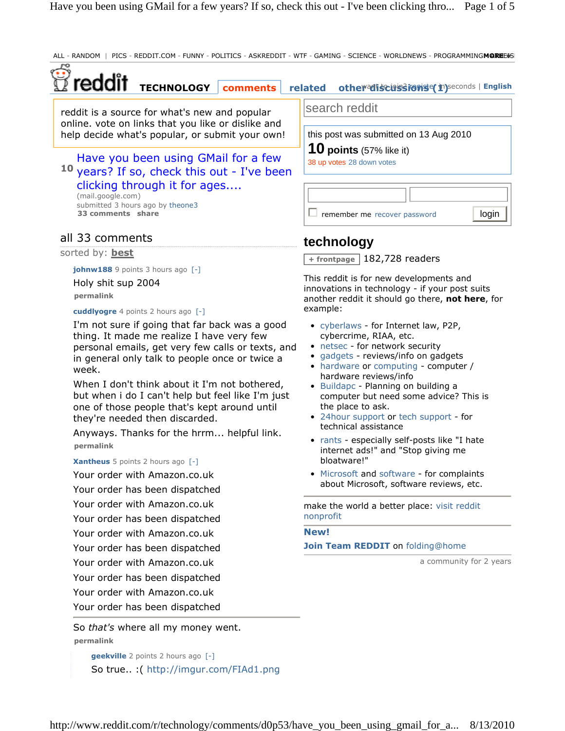ALL - RANDOM | PICS - REDDIT.COM - FUNNY - POLITICS - ASKREDDIT - WTF - GAMING - SCIENCE - WORLDNEWS - PROGRAMMING**MQRE**E\$S



**geekville** 2 points 2 hours ago [-] So true.. :( http://imgur.com/FIAd1.png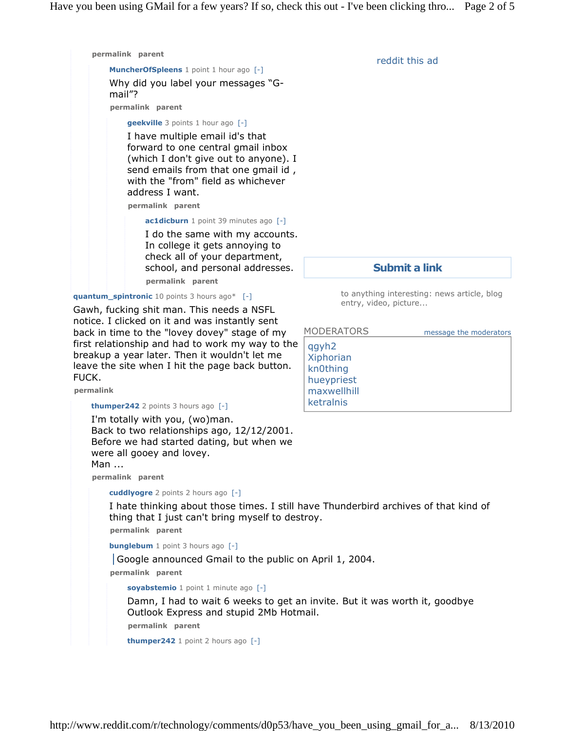

**permalink parent**

**cuddlyogre** 2 points 2 hours ago [-]

I hate thinking about those times. I still have Thunderbird archives of that kind of thing that I just can't bring myself to destroy.

**permalink parent**

**bunglebum** 1 point 3 hours ago [-]

Google announced Gmail to the public on April 1, 2004.

**permalink parent**

**soyabstemio** 1 point 1 minute ago [-]

**permalink parent** Damn, I had to wait 6 weeks to get an invite. But it was worth it, goodbye Outlook Express and stupid 2Mb Hotmail.

```
thumper242 1 point 2 hours ago [-]
```
## reddit this ad

**Submit a link**

to anything interesting: news article, blog entry, video, picture...

| message the moderators |
|------------------------|
|                        |
|                        |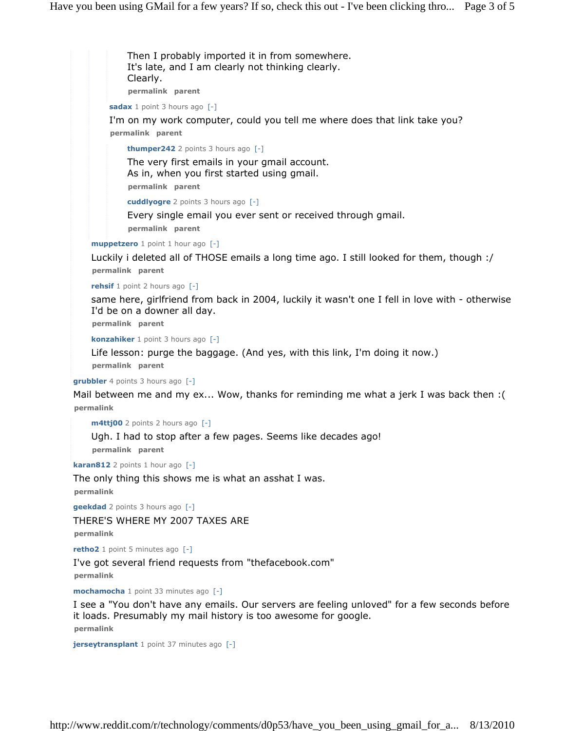**permalink parent sadax** 1 point 3 hours ago [-] **permalink parent thumper242** 2 points 3 hours ago [-] **permalink parent cuddlyogre** 2 points 3 hours ago [-] **permalink parent** Then I probably imported it in from somewhere. It's late, and I am clearly not thinking clearly. Clearly. I'm on my work computer, could you tell me where does that link take you? The very first emails in your gmail account. As in, when you first started using gmail. Every single email you ever sent or received through gmail.

**muppetzero** 1 point 1 hour ago [-]

**permalink parent** Luckily i deleted all of THOSE emails a long time ago. I still looked for them, though :/

**rehsif** 1 point 2 hours ago [-]

same here, girlfriend from back in 2004, luckily it wasn't one I fell in love with - otherwise I'd be on a downer all day.

**permalink parent**

**konzahiker** 1 point 3 hours ago [-]

Life lesson: purge the baggage. (And yes, with this link, I'm doing it now.)

**permalink parent**

**grubbler** 4 points 3 hours ago [-]

**permalink** Mail between me and my ex... Wow, thanks for reminding me what a jerk I was back then :(

**m4ttj00** 2 points 2 hours ago [-]

**permalink parent** Ugh. I had to stop after a few pages. Seems like decades ago!

**karan812** 2 points 1 hour ago [-]

**permalink** The only thing this shows me is what an asshat I was.

**geekdad** 2 points 3 hours ago [-]

THERE'S WHERE MY 2007 TAXES ARE

**permalink**

**retho2** 1 point 5 minutes ago [-]

I've got several friend requests from "thefacebook.com"

**permalink**

**mochamocha** 1 point 33 minutes ago [-]

**permalink** I see a "You don't have any emails. Our servers are feeling unloved" for a few seconds before it loads. Presumably my mail history is too awesome for google.

```
jerseytransplant 1 point 37 minutes ago [-]
```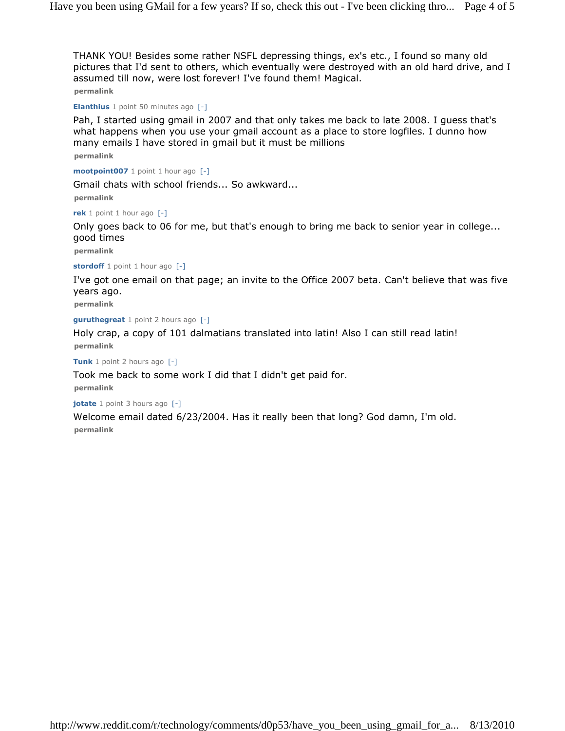**permalink** THANK YOU! Besides some rather NSFL depressing things, ex's etc., I found so many old pictures that I'd sent to others, which eventually were destroyed with an old hard drive, and I assumed till now, were lost forever! I've found them! Magical.

**Elanthius** 1 point 50 minutes ago [-]

**permalink** Pah, I started using gmail in 2007 and that only takes me back to late 2008. I guess that's what happens when you use your gmail account as a place to store logfiles. I dunno how many emails I have stored in gmail but it must be millions

**mootpoint007** 1 point 1 hour ago [-]

**permalink** Gmail chats with school friends... So awkward...

**rek** 1 point 1 hour ago [-]

Only goes back to 06 for me, but that's enough to bring me back to senior year in college... good times

**permalink**

**stordoff** 1 point 1 hour ago [-]

I've got one email on that page; an invite to the Office 2007 beta. Can't believe that was five years ago.

**permalink**

**guruthegreat** 1 point 2 hours ago [-]

**permalink** Holy crap, a copy of 101 dalmatians translated into latin! Also I can still read latin!

**Tunk** 1 point 2 hours ago [-]

**permalink** Took me back to some work I did that I didn't get paid for.

**jotate** 1 point 3 hours ago [-]

**permalink** Welcome email dated 6/23/2004. Has it really been that long? God damn, I'm old.